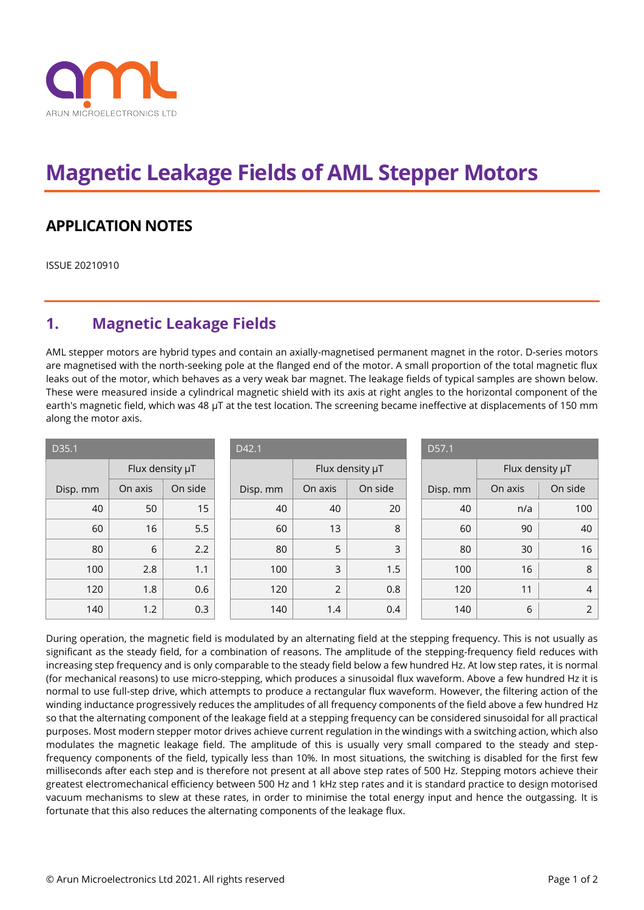

## **Magnetic Leakage Fields of AML Stepper Motors**

## **APPLICATION NOTES**

ISSUE 20210910

## **1. Magnetic Leakage Fields**

AML stepper motors are hybrid types and contain an axially-magnetised permanent magnet in the rotor. D-series motors are magnetised with the north-seeking pole at the flanged end of the motor. A small proportion of the total magnetic flux leaks out of the motor, which behaves as a very weak bar magnet. The leakage fields of typical samples are shown below. These were measured inside a cylindrical magnetic shield with its axis at right angles to the horizontal component of the earth's magnetic field, which was 48 µT at the test location. The screening became ineffective at displacements of 150 mm along the motor axis.

| D35.1    |                 |         |  | D42.1    |                 |         |  | D57.1    |                 |                |
|----------|-----------------|---------|--|----------|-----------------|---------|--|----------|-----------------|----------------|
|          | Flux density µT |         |  |          | Flux density µT |         |  |          | Flux density µT |                |
| Disp. mm | On axis         | On side |  | Disp. mm | On axis         | On side |  | Disp. mm | On axis         | On side        |
| 40       | 50              | 15      |  | 40       | 40              | 20      |  | 40       | n/a             | 100            |
| 60       | 16              | 5.5     |  | 60       | 13              | 8       |  | 60       | 90              | 40             |
| 80       | 6               | 2.2     |  | 80       | 5               | 3       |  | 80       | 30              | 16             |
| 100      | 2.8             | 1.1     |  | 100      | 3               | 1.5     |  | 100      | 16              | 8              |
| 120      | 1.8             | 0.6     |  | 120      | $\overline{2}$  | 0.8     |  | 120      | 11              | 4              |
| 140      | 1.2             | 0.3     |  | 140      | 1.4             | 0.4     |  | 140      | 6               | $\overline{2}$ |

During operation, the magnetic field is modulated by an alternating field at the stepping frequency. This is not usually as significant as the steady field, for a combination of reasons. The amplitude of the stepping-frequency field reduces with increasing step frequency and is only comparable to the steady field below a few hundred Hz. At low step rates, it is normal (for mechanical reasons) to use micro-stepping, which produces a sinusoidal flux waveform. Above a few hundred Hz it is normal to use full-step drive, which attempts to produce a rectangular flux waveform. However, the filtering action of the winding inductance progressively reduces the amplitudes of all frequency components of the field above a few hundred Hz so that the alternating component of the leakage field at a stepping frequency can be considered sinusoidal for all practical purposes. Most modern stepper motor drives achieve current regulation in the windings with a switching action, which also modulates the magnetic leakage field. The amplitude of this is usually very small compared to the steady and stepfrequency components of the field, typically less than 10%. In most situations, the switching is disabled for the first few milliseconds after each step and is therefore not present at all above step rates of 500 Hz. Stepping motors achieve their greatest electromechanical efficiency between 500 Hz and 1 kHz step rates and it is standard practice to design motorised vacuum mechanisms to slew at these rates, in order to minimise the total energy input and hence the outgassing. It is fortunate that this also reduces the alternating components of the leakage flux.